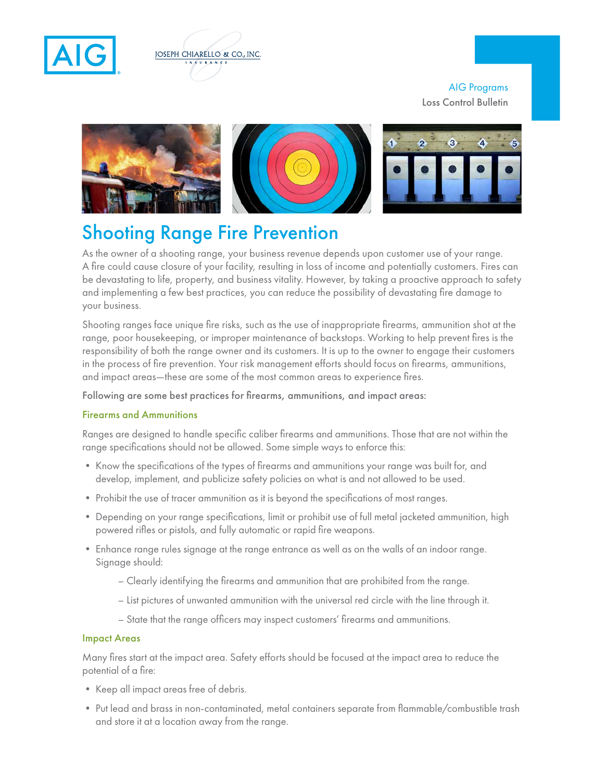



## AIG Programs Loss Control Bulletin



# Shooting Range Fire Prevention

As the owner of a shooting range, your business revenue depends upon customer use of your range. A fire could cause closure of your facility, resulting in loss of income and potentially customers. Fires can be devastating to life, property, and business vitality. However, by taking a proactive approach to safety and implementing a few best practices, you can reduce the possibility of devastating fire damage to your business.

Shooting ranges face unique fire risks, such as the use of inappropriate firearms, ammunition shot at the range, poor housekeeping, or improper maintenance of backstops. Working to help prevent fires is the responsibility of both the range owner and its customers. It is up to the owner to engage their customers in the process of fire prevention. Your risk management efforts should focus on firearms, ammunitions, and impact areas—these are some of the most common areas to experience fires.

Following are some best practices for firearms, ammunitions, and impact areas:

### Firearms and Ammunitions

Ranges are designed to handle specific caliber firearms and ammunitions. Those that are not within the range specifications should not be allowed. Some simple ways to enforce this:

- Know the specifications of the types of firearms and ammunitions your range was built for, and develop, implement, and publicize safety policies on what is and not allowed to be used.
- Prohibit the use of tracer ammunition as it is beyond the specifications of most ranges.
- Depending on your range specifications, limit or prohibit use of full metal jacketed ammunition, high powered rifles or pistols, and fully automatic or rapid fire weapons.
- Enhance range rules signage at the range entrance as well as on the walls of an indoor range. Signage should:
	- Clearly identifying the firearms and ammunition that are prohibited from the range.
	- List pictures of unwanted ammunition with the universal red circle with the line through it.
	- State that the range officers may inspect customers' firearms and ammunitions.

#### Impact Areas

Many fires start at the impact area. Safety efforts should be focused at the impact area to reduce the potential of a fire:

- Keep all impact areas free of debris.
- Put lead and brass in non-contaminated, metal containers separate from flammable/combustible trash and store it at a location away from the range.